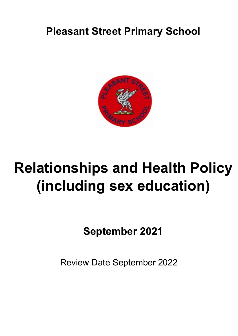### **Pleasant Street Primary School**



## **Relationships and Health Policy (including sex education)**

**September 2021**

Review Date September 2022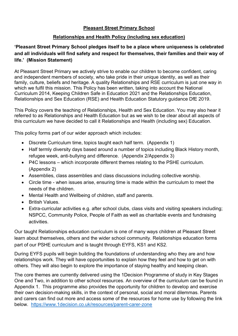#### **Pleasant Street Primary School**

#### **Relationships and Health Policy (including sex education)**

#### **'Pleasant Street Primary School pledges itself to be a place where uniqueness is celebrated and all individuals will find safety and respect for themselves, their families and their way of life.' (Mission Statement)**

At Pleasant Street Primary we actively strive to enable our children to become confident, caring and independent members of society, who take pride in their unique identity, as well as their family, culture, beliefs and heritage. A quality Relationships and RSE curriculum is just one way in which we fulfil this mission. This Policy has been written, taking into account the National Curriculum 2014, Keeping Children Safe in Education 2021 and the Relationships Education, Relationships and Sex Education (RSE) and Health Education Statutory guidance DfE 2019.

This Policy covers the teaching of Relationships, Health and Sex Education. You may also hear it referred to as Relationships and Health Education but as we wish to be clear about all aspects of this curriculum we have decided to call it Relationships and Health (including sex) Education.

This policy forms part of our wider approach which includes:

- Discrete Curriculum time, topics taught each half term. (Appendix 1)
- Half termly diversity days based around a number of topics including Black History month, refugee week, anti-bullying and difference. (Appendix 2/Appendix 3)
- P4C lessons which incorporate different themes relating to the PSHE curriculum. (Appendix 2)
- Assemblies, class assemblies and class discussions including collective worship.
- Circle time when issues arise, ensuring time is made within the curriculum to meet the needs of the children.
- Mental Health and Wellbeing of children, staff and parents.
- British Values.
- Extra-curricular activities e.g. after school clubs, class visits and visiting speakers including; NSPCC, Community Police, People of Faith as well as charitable events and fundraising activities.

Our taught Relationships education curriculum is one of many ways children at Pleasant Street learn about themselves, others and the wider school community. Relationships education forms part of our PSHE curriculum and is taught through EYFS, KS1 and KS2.

During EYFS pupils will begin building the foundations of understanding who they are and how relationships work. They will have opportunities to explain how they feel and how to get on with others. They will also begin to explore the importance of staying healthy and keeping clean.

The core themes are currently delivered using the 1Decision Programme of study in Key Stages One and Two, in addition to other school resources. An overview of the curriculum can be found in Appendix 1. This programme also provides the opportunity for children to develop and exercise their own decision-making skills, in the context of personal, social and moral dilemmas. Parents and carers can find out more and access some of the resources for home use by following the link below. https://www.1decision.co.uk/resources/parent-carer-zone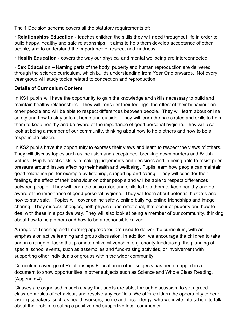The 1 Decision scheme covers all the statutory requirements of:

• **Relationships Education** - teaches children the skills they will need throughout life in order to build happy, healthy and safe relationships. It aims to help them develop acceptance of other people, and to understand the importance of respect and kindness.

• **Health Education** - covers the way our physical and mental wellbeing are interconnected.

• **Sex Education** – Naming parts of the body, puberty and human reproduction are delivered through the science curriculum, which builds understanding from Year One onwards. Not every year group will study topics related to conception and reproduction.

#### **Details of Curriculum Content**

In KS1 pupils will have the opportunity to gain the knowledge and skills necessary to build and maintain healthy relationships. They will consider their feelings, the effect of their behaviour on other people and will be able to respect differences between people. They will learn about online safety and how to stay safe at home and outside. They will learn the basic rules and skills to help them to keep healthy and be aware of the importance of good personal hygiene. They will also look at being a member of our community, thinking about how to help others and how to be a responsible citizen.

In KS2 pupils have the opportunity to express their views and learn to respect the views of others. They will discuss topics such as inclusion and acceptance, breaking down barriers and British Values. Pupils practise skills in making judgements and decisions and in being able to resist peer pressure around issues affecting their health and wellbeing. Pupils learn how people can maintain good relationships, for example by listening, supporting and caring. They will consider their feelings, the effect of their behaviour on other people and will be able to respect differences between people. They will learn the basic rules and skills to help them to keep healthy and be aware of the importance of good personal hygiene. They will learn about potential hazards and how to stay safe. Topics will cover online safety, online bullying, online friendships and image sharing. They discuss changes, both physical and emotional, that occur at puberty and how to deal with these in a positive way. They will also look at being a member of our community, thinking about how to help others and how to be a responsible citizen.

A range of Teaching and Learning approaches are used to deliver the curriculum, with an emphasis on active learning and group discussion. In addition, we encourage the children to take part in a range of tasks that promote active citizenship, e.g. charity fundraising, the planning of special school events, such as assemblies and fund-raising activities, or involvement with supporting other individuals or groups within the wider community.

Curriculum coverage of Relationships Education in other subjects has been mapped in a document to show opportunities in other subjects such as Science and Whole Class Reading. (Appendix 4)

Classes are organised in such a way that pupils are able, through discussion, to set agreed classroom rules of behaviour, and resolve any conflicts. We offer children the opportunity to hear visiting speakers, such as health workers, police and local clergy, who we invite into school to talk about their role in creating a positive and supportive local community.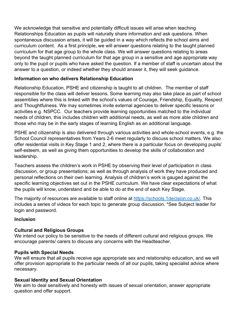We acknowledge that sensitive and potentially difficult issues will arise when teaching Relationships Education as pupils will naturally share information and ask questions. When spontaneous discussion arises, it will be guided in a way which reflects the school aims and curriculum content. As a first principle, we will answer questions relating to the taught planned curriculum for that age group to the whole class. We will answer questions relating to areas beyond the taught planned curriculum for that age group in a sensitive and age appropriate way only to the pupil or pupils who have asked the question. If a member of staff is uncertain about the answer to a question, or indeed whether they should answer it, they will seek guidance.

#### **Information on who delivers Relationship Education**

Relationship Education, PSHE and citizenship is taught to all children. The member of staff responsible for the class will deliver lessons. Some learning may also take place as part of school assemblies where this is linked with the school's values of Courage, Friendship, Equality, Respect and Thoughtfulness. We may sometimes invite external agencies to deliver specific lessons or activities e.g. NSPCC. Our teachers provide learning opportunities matched to the individual needs of children, this includes children with additional needs, as well as more able children and those who may be in the early stages of learning English as an additional language.

PSHE and citizenship is also delivered through various activities and whole-school events, e.g. the School Council representatives from Years 2-6 meet regularly to discuss school matters. We also offer residential visits in Key Stage 1 and 2, where there is a particular focus on developing pupils' self-esteem, as well as giving them opportunities to develop the skills of collaboration and leadership.

Teachers assess the children's work in PSHE by observing their level of participation in class discussion, or group presentations; as well as through analysis of work they have produced and personal reflections on their own learning. Analysis of children's work is gauged against the specific learning objectives set out in the PSHE curriculum. We have clear expectations of what the pupils will know, understand and be able to do at the end of each Key Stage.

The majority of resources are available to staff online at https://schools.1decision.co.uk/. This includes a series of videos for each topic to generate group discussion. \*See Subject leader for login and password.

#### **Inclusion**

#### **Cultural and Religious Groups**

We intend our policy to be sensitive to the needs of different cultural and religious groups. We encourage parents/ carers to discuss any concerns with the Headteacher.

#### **Pupils with Special Needs**

We will ensure that all pupils receive age appropriate sex and relationship education, and we will offer provision appropriate to the particular needs of all our pupils, taking specialist advice where necessary.

#### **Sexual Identity and Sexual Orientation**

We aim to deal sensitively and honesty with issues of sexual orientation, answer appropriate question and offer support.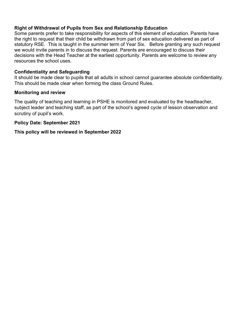#### **Right of Withdrawal of Pupils from Sex and Relationship Education**

Some parents prefer to take responsibility for aspects of this element of education. Parents have the right to request that their child be withdrawn from part of sex education delivered as part of statutory RSE. This is taught in the summer term of Year Six. Before granting any such request we would invite parents in to discuss the request. Parents are encouraged to discuss their decisions with the Head Teacher at the earliest opportunity. Parents are welcome to review any resources the school uses.

#### **Confidentiality and Safeguarding**

It should be made clear to pupils that all adults in school cannot guarantee absolute confidentiality. This should be made clear when forming the class Ground Rules.

#### **Monitoring and review**

The quality of teaching and learning in PSHE is monitored and evaluated by the headteacher, subject leader and teaching staff, as part of the school's agreed cycle of lesson observation and scrutiny of pupil's work.

#### **Policy Date: September 2021**

#### **This policy will be reviewed in September 2022**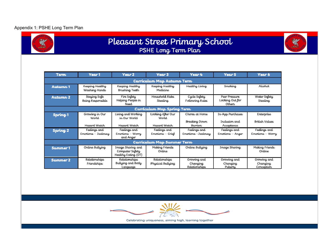#### Appendix 1: PSHE Long Term Plan



# Pleasant Street Primary School<br>PSHE Long Term Plan

| <b>Term</b>         | Year 1                              | Year 2                                                      | Year 3                             | Year 4                                   | Year 5                                     | Year 6                                |
|---------------------|-------------------------------------|-------------------------------------------------------------|------------------------------------|------------------------------------------|--------------------------------------------|---------------------------------------|
|                     | Curriculum Map Autumn Term          |                                                             |                                    |                                          |                                            |                                       |
| Autumn 1            | Keeping Healthy<br>Washing Hands    | Keeping Healthy<br>Brushing Teeth                           | Keeping Healthy<br>Medicine        | Healthy Living                           | Smoking                                    | Alcohol                               |
| Autumn 2            | Staying Safe<br>Being Responsible   | Fire Salety<br>Helping People in<br>Need.                   | Household Risks<br>Stealing        | Cycle Safety<br>Following Rules          | Peer Pressure<br>Looking Out for<br>Others | Water Safety<br>Stealing              |
|                     | Curriculum Map Spring Term          |                                                             |                                    |                                          |                                            |                                       |
| Spring <sub>1</sub> | Growing in Our<br>World             | Living and Working<br>in Our World                          | Looking After Our<br>World         | Chores at Home                           | In-App Purchases                           | Enterprise                            |
|                     | Hazard Watch                        | Hazard Watch                                                | Hazard Watch                       | Breaking Down<br><b>Barriers</b>         | Inclusion and<br>Acceptance                | British Values                        |
| Spring <sub>2</sub> | Feelings and<br>Emotions – Jealousy | Feelings and<br>Emotions - Worry<br>and Anger               | Feelings and<br>Emotions - Grief   | Feelings and<br>Emotions –Jealousy       | Feelings and<br>Emotions - Anger           | Feelings and<br>Emotions - Worry      |
|                     |                                     |                                                             | <b>Curriculum Map Summer Term</b>  |                                          |                                            |                                       |
| Summer 1            | Online Bullying                     | Image Sharing and<br>Computer Safety<br>Healthy Eating (DT) | Making Friends<br>Online           | Online Bullying                          | Image Sharing                              | Making Friends<br>Online              |
| <b>Summer 2</b>     | Relationships<br>Friendships        | Relationships<br>Bullying and Body<br>Language              | Relationships<br>Physical Bullying | Growing and<br>Changing<br>Relationships | Growing and<br>Changing<br>Puberty         | Growing and<br>Changing<br>Conception |



Celebrating uniqueness, aiming high, learning together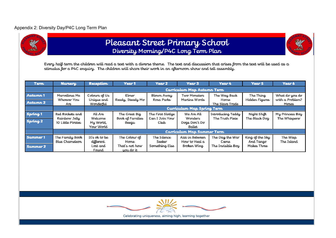#### Appendix 2: Diversity Day/P4C Long Term Plan



### Pleasant Street Primary School Diversity Morning/P4C Long Term Plan



| Term                | <b>Nursery</b>                     | <b>Reception</b>                   | Year 1                      | Year 2                  | Year 3                             | Year 4                  | Year 5          | Year 6                   |
|---------------------|------------------------------------|------------------------------------|-----------------------------|-------------------------|------------------------------------|-------------------------|-----------------|--------------------------|
|                     |                                    |                                    |                             |                         | Curriculum Map Autumn Term         |                         |                 |                          |
| Autumn 1            | Marvellous Me                      | Colours of Us                      | Elmer                       | Blown Away              | Two Monsters                       | The Way Back            | The Thing       | What do you do           |
| Autumn 2            | Whoever You<br>Are                 | Unique and<br>Wonderful            | Ready, Steady Mo            | Rosa Parks              | Martins Words                      | Home<br>The Slave Trade | Hidden Figures  | with a Problem?<br>Moses |
|                     |                                    | <b>Curriculum Map Spring Term</b>  |                             |                         |                                    |                         |                 |                          |
| Spring <sub>1</sub> | Red Rockets and                    | All Are                            | The Great Bia               | The First Slodge        | We Are All                         | Introducing Teddy       | Night Shift     | My Princess Boy          |
| Spring <sub>2</sub> | Rainbow Jelly<br>10 Little Pirates | Welcome<br>My World,<br>Your World | Book of Families<br>Beegu   | Can I Join Your<br>Club | Wonders<br>Dogs Don't Do<br>Ballet | The Truth Pixie         | The Black Dog   | The Whisperer            |
|                     |                                    |                                    |                             |                         | <b>Curriculum Map Summer Term</b>  |                         |                 |                          |
| <b>Summer1</b>      | The Family Book                    | It's ok to be                      | The Colour of               | The Silence             | Azzi in Between                    | The Day the War         | King of the Sky | The Wisp                 |
|                     | Blue Chameleon                     | different.                         | Home                        | Seeker                  | How to Heal a                      | Came                    | And Tango       | The Island               |
| <b>Summer 2</b>     |                                    | Lost and<br>Found                  | That's not how<br>you do it | Something Else          | Broken Wing                        | The Invisible Boy       | Makes Three     |                          |



Celebrating uniqueness, aiming high, learning together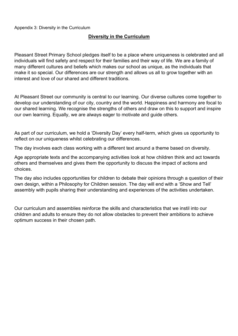#### **Diversity in the Curriculum**

Pleasant Street Primary School pledges itself to be a place where uniqueness is celebrated and all individuals will find safety and respect for their families and their way of life. We are a family of many different cultures and beliefs which makes our school as unique, as the individuals that make it so special. Our differences are our strength and allows us all to grow together with an interest and love of our shared and different traditions.

At Pleasant Street our community is central to our learning. Our diverse cultures come together to develop our understanding of our city, country and the world. Happiness and harmony are focal to our shared learning. We recognise the strengths of others and draw on this to support and inspire our own learning. Equally, we are always eager to motivate and guide others.

As part of our curriculum, we hold a 'Diversity Day' every half-term, which gives us opportunity to reflect on our uniqueness whilst celebrating our differences.

The day involves each class working with a different text around a theme based on diversity.

Age appropriate texts and the accompanying activities look at how children think and act towards others and themselves and gives them the opportunity to discuss the impact of actions and choices.

The day also includes opportunities for children to debate their opinions through a question of their own design, within a Philosophy for Children session. The day will end with a 'Show and Tell' assembly with pupils sharing their understanding and experiences of the activities undertaken.

Our curriculum and assemblies reinforce the skills and characteristics that we instil into our children and adults to ensure they do not allow obstacles to prevent their ambitions to achieve optimum success in their chosen path.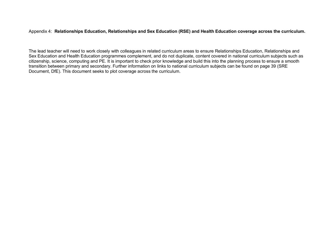Appendix 4: **Relationships Education, Relationships and Sex Education (RSE) and Health Education coverage across the curriculum.** 

The lead teacher will need to work closely with colleagues in related curriculum areas to ensure Relationships Education, Relationships and Sex Education and Health Education programmes complement, and do not duplicate, content covered in national curriculum subjects such as citizenship, science, computing and PE. It is important to check prior knowledge and build this into the planning process to ensure a smooth transition between primary and secondary. Further information on links to national curriculum subjects can be found on page 39 (SRE Document, DfE). This document seeks to plot coverage across the curriculum.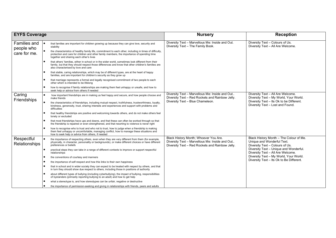| <b>EYFS Coverage</b>        |                                                                                                                                                                                                                                                  | <b>Nursery</b>                                                                                                                             | <b>Reception</b>                                                                                                                                            |
|-----------------------------|--------------------------------------------------------------------------------------------------------------------------------------------------------------------------------------------------------------------------------------------------|--------------------------------------------------------------------------------------------------------------------------------------------|-------------------------------------------------------------------------------------------------------------------------------------------------------------|
| Families and<br>people who  | that families are important for children growing up because they can give love, security and<br>stability                                                                                                                                        | Diversity Text - Marvellous Me: Inside and Out.<br>Diversity Text - The Family Book.                                                       | Diversity Text - Colours of Us.<br>Diversity Text - All Are Welcome.                                                                                        |
| care for me.                | the characteristics of healthy family life, commitment to each other, including in times of difficulty,<br>protection and care for children and other family members, the importance of spending time<br>together and sharing each other's lives |                                                                                                                                            |                                                                                                                                                             |
|                             | that others' families, either in school or in the wider world, sometimes look different from their<br>family, but that they should respect those differences and know that other children's families are<br>also characterised by love and care  |                                                                                                                                            |                                                                                                                                                             |
|                             | that stable, caring relationships, which may be of different types, are at the heart of happy<br>families, and are important for children's security as they grow up                                                                             |                                                                                                                                            |                                                                                                                                                             |
|                             | that marriage represents a formal and legally recognised commitment of two people to each<br>other which is intended to be lifelong                                                                                                              |                                                                                                                                            |                                                                                                                                                             |
|                             | how to recognise if family relationships are making them feel unhappy or unsafe, and how to<br>seek help or advice from others if needed                                                                                                         |                                                                                                                                            |                                                                                                                                                             |
| Caring<br>Friendships       | how important friendships are in making us feel happy and secure, and how people choose and<br>make friends                                                                                                                                      | Diversity Text - Marvellous Me: Inside and Out<br>Diversity Text - Red Rockets and Rainbow Jelly.                                          | Diversity Text - All Are Welcome.<br>Diversity Text - My World, Your World.<br>Diversity Text - Its Ok to be Different.<br>Diversity Text - Lost and Found. |
|                             | the characteristics of friendships, including mutual respect, truthfulness, trustworthiness, loyalty,<br>kindness, generosity, trust, sharing interests and experiences and support with problems and<br>difficulties                            | Diversity Text - Blue Chameleon.                                                                                                           |                                                                                                                                                             |
|                             | that healthy friendships are positive and welcoming towards others, and do not make others feel<br>lonely or excluded                                                                                                                            |                                                                                                                                            |                                                                                                                                                             |
|                             | that most friendships have ups and downs, and that these can often be worked through so that<br>the friendship is repaired or even strengthened, and that resorting to violence is never right                                                   |                                                                                                                                            |                                                                                                                                                             |
|                             | how to recognise who to trust and who not to trust, how to judge when a friendship is making<br>them feel unhappy or uncomfortable, managing conflict, how to manage these situations and<br>how to seek help or advice from others, if needed   |                                                                                                                                            |                                                                                                                                                             |
| Respectful<br>Relationships | the importance of respecting others, even when they are very different from them (for example,<br>physically, in character, personality or backgrounds), or make different choices or have different<br>preferences or beliefs                   | Black History Month; Whoever You Are.<br>Diversity Text - Marvellous Me: Inside and Out<br>Diversity Text - Red Rockets and Rainbow Jelly. | Black History Month - The Colour of Me.<br>Unique and Wonderful Text.<br>Diversity Text - Colours of Us.                                                    |
|                             | practical steps they can take in a range of different contexts to improve or support respectful<br>relationships                                                                                                                                 |                                                                                                                                            | Diversity Text - Unique and Wonderful.<br>Diversity Text - All Are Welcome.                                                                                 |
|                             | the conventions of courtesy and manners                                                                                                                                                                                                          |                                                                                                                                            | Diversity Text - My World, Your World.                                                                                                                      |
|                             | the importance of self-respect and how this links to their own happiness                                                                                                                                                                         |                                                                                                                                            | Diversity Text - Its Ok to Be Different.                                                                                                                    |
|                             | that in school and in wider society they can expect to be treated with respect by others, and that<br>in turn they should show due respect to others, including those in positions of authority                                                  |                                                                                                                                            |                                                                                                                                                             |
|                             | about different types of bullying (including cyberbullying), the impact of bullying, responsibilities<br>of bystanders (primarily reporting bullying to an adult) and how to get help                                                            |                                                                                                                                            |                                                                                                                                                             |
|                             | what a stereotype is, and how stereotypes can be unfair, negative or destructive                                                                                                                                                                 |                                                                                                                                            |                                                                                                                                                             |
|                             | the importance of permission-seeking and giving in relationships with friends, peers and adults                                                                                                                                                  |                                                                                                                                            |                                                                                                                                                             |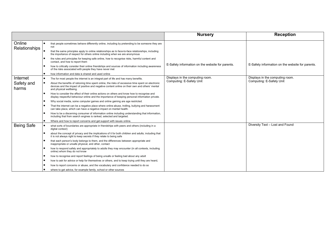|                         |                                                                                                                                                                                                                                 | <b>Nursery</b>                                              | <b>Reception</b>                                            |
|-------------------------|---------------------------------------------------------------------------------------------------------------------------------------------------------------------------------------------------------------------------------|-------------------------------------------------------------|-------------------------------------------------------------|
| Online<br>Relationships | that people sometimes behave differently online, including by pretending to be someone they are<br>not                                                                                                                          |                                                             |                                                             |
|                         | that the same principles apply to online relationships as to face-to-face relationships, including<br>the importance of respect for others online including when we are anonymous                                               |                                                             |                                                             |
|                         | the rules and principles for keeping safe online, how to recognise risks, harmful content and<br>contact, and how to report them                                                                                                |                                                             |                                                             |
|                         | how to critically consider their online friendships and sources of information including awareness<br>of the risks associated with people they have never met                                                                   | E-Safety information on the website for parents.            | E-Safety information on the website for parents.            |
|                         | how information and data is shared and used online                                                                                                                                                                              |                                                             |                                                             |
| Internet                | The for most people the internet is an integral part of life and has many benefits.                                                                                                                                             | Displays in the computing room.<br>Computing: E-Safety Unit | Displays in the computing room.<br>Computing: E-Safety Unit |
| Safety and<br>harms     | About the benefits of rationing time spent online, the risks of excessive time spent on electronic<br>devices and the impact of positive and negative content online on their own and others' mental<br>and physical wellbeing. |                                                             |                                                             |
|                         | How to consider the effect of their online actions on others and know how to recognise and<br>display respectful behaviour online and the importance of keeping personal information private.                                   |                                                             |                                                             |
|                         | Why social media, some computer games and online gaming are age restricted.                                                                                                                                                     |                                                             |                                                             |
|                         | That the internet can be a negative place where online abuse, trolling, bullying and harassment<br>can take place, which can have a negative impact on mental health.                                                           |                                                             |                                                             |
|                         | How to be a discerning consumer of information online including understanding that information,<br>including that from search engines is ranked, selected and targeted.                                                         |                                                             |                                                             |
|                         | $\bullet$<br>Where and how to report concerns and get support with issues online.                                                                                                                                               |                                                             |                                                             |
| <b>Being Safe</b>       | what sorts of boundaries are appropriate in friendships with peers and others (including in a<br>digital context)                                                                                                               |                                                             | Diversity Text - Lost and Found                             |
|                         | about the concept of privacy and the implications of it for both children and adults; including that<br>it is not always right to keep secrets if they relate to being safe                                                     |                                                             |                                                             |
|                         | that each person's body belongs to them, and the differences between appropriate and<br>inappropriate or unsafe physical, and other, contact                                                                                    |                                                             |                                                             |
|                         | how to respond safely and appropriately to adults they may encounter (in all contexts, including<br>online) whom they do not know                                                                                               |                                                             |                                                             |
|                         | how to recognise and report feelings of being unsafe or feeling bad about any adult                                                                                                                                             |                                                             |                                                             |
|                         | how to ask for advice or help for themselves or others, and to keep trying until they are heard,                                                                                                                                |                                                             |                                                             |
|                         | how to report concerns or abuse, and the vocabulary and confidence needed to do so                                                                                                                                              |                                                             |                                                             |
|                         | where to get advice, for example family, school or other sources                                                                                                                                                                |                                                             |                                                             |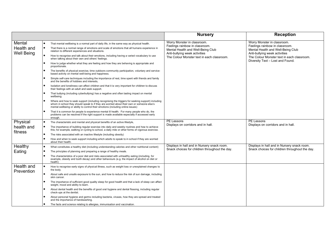|                                           |                                                                                                                                                                                                                                                                                                                                                                                                                                                                                                                                                                                                                                                                                                                                                                                                                                                                                                                                                                                                                                                                                                                                                                                                                                                                                                                                                                                                                                                                                                                                                                                             | <b>Nursery</b>                                                                                                                                                                    | <b>Reception</b>                                                                                                                                                                                                      |
|-------------------------------------------|---------------------------------------------------------------------------------------------------------------------------------------------------------------------------------------------------------------------------------------------------------------------------------------------------------------------------------------------------------------------------------------------------------------------------------------------------------------------------------------------------------------------------------------------------------------------------------------------------------------------------------------------------------------------------------------------------------------------------------------------------------------------------------------------------------------------------------------------------------------------------------------------------------------------------------------------------------------------------------------------------------------------------------------------------------------------------------------------------------------------------------------------------------------------------------------------------------------------------------------------------------------------------------------------------------------------------------------------------------------------------------------------------------------------------------------------------------------------------------------------------------------------------------------------------------------------------------------------|-----------------------------------------------------------------------------------------------------------------------------------------------------------------------------------|-----------------------------------------------------------------------------------------------------------------------------------------------------------------------------------------------------------------------|
| Mental<br>Health and<br><b>Well Being</b> | That mental wellbeing is a normal part of daily life, in the same way as physical health.<br>That there is a normal range of emotions and scale of emotions that all humans experience in<br>relation to different experiences and situations.<br>How to recognise and talk about their emotions, including having a varied vocabulary to use<br>when talking about their own and others' feelings.<br>How to judge whether what they are feeling and how they are behaving is appropriate and<br>proportionate.<br>The benefits of physical exercise, time outdoors community participation, voluntary and service-<br>based activity on mental well-being and happiness.<br>Simple self-care techniques including the importance of rest, time spent with friends and family<br>and the benefits of hobbies and interests.<br>Isolation and loneliness can affect children and that it is very important for children to discuss<br>their feelings with an adult and seek support.<br>That bullying (including cyberbullying) has a negative and often lasting impact on mental<br>wellbeing.<br>Where and how to seek support (including recognising the triggers for seeking support) including<br>whom in school they should speak to if they are worried about their own or someone else's<br>mental wellbeing or ability to control their emotions (including online issues)<br>That it is common for people to experience mental ill health. For many people who do, the<br>problems can be resolved if the right support is made available especially if accessed early<br>enough. | Worry Monster in classroom.<br>Feelings rainbow in classroom.<br>Mental Health and Well-Being Club<br>Anti-bullying week activities<br>The Colour Monster text in each classroom. | Worry Monster in classroom.<br>Feelings rainbow in classroom.<br>Mental Health and Well-Being Club<br>Anti-bullying week activities<br>The Colour Monster text in each classroom.<br>Diversity Text - Lost and Found. |
| Physical<br>health and<br>fitness         | The characteristic and mental and physical benefits of an active lifestyle,<br>The importance of building regular exercise into daily and weekly routines and how to achieve<br>this; for example, walking or cycling to school, a daily mile or other forms of vigorous exercise.<br>The risks associated with an inactive lifestyle (including obesity)<br>How and when to seek support including which adults to speak to in school if they are worried<br>about their health.                                                                                                                                                                                                                                                                                                                                                                                                                                                                                                                                                                                                                                                                                                                                                                                                                                                                                                                                                                                                                                                                                                           | PE Lessons<br>Displays on corridors and in hall.                                                                                                                                  | PE Lessons<br>Displays on corridors and in hall.                                                                                                                                                                      |
| Healthy<br>Eating                         | What constitutes a healthy diet (including understanding calories and other nutritional content)<br>The principles of planning and preparing a range of healthy meals.<br>The characteristics of a poor diet and risks associated with unhealthy eating (including, for<br>example, obesity and tooth decay) and other behaviours (e.g. the impact of alcohol on diet or<br>health)                                                                                                                                                                                                                                                                                                                                                                                                                                                                                                                                                                                                                                                                                                                                                                                                                                                                                                                                                                                                                                                                                                                                                                                                         | Displays in hall and in Nursery snack room.<br>Snack choices for children throughout the day.                                                                                     | Displays in hall and in Nursery snack room.<br>Snack choices for children throughout the day.                                                                                                                         |
| Health and<br>Prevention                  | How to recognise early signs of physical illness, such as weight loss or unexplained changes to<br>the body.<br>About safe and unsafe exposure to the sun, and how to reduce the risk of sun damage, including<br>skin cancer.<br>The importance of sufficient good quality sleep for good health and that a lack of sleep can affect<br>weight, mood and ability to learn.<br>About dental health and the benefits of good oral hygiene and dental flossing, including regular<br>check-ups at the dentist.<br>About personal hygiene and germs including bacteria, viruses, how they are spread and treated<br>and the importance of handwashing.<br>The facts and science relating to allergies, immunisation and vaccination.                                                                                                                                                                                                                                                                                                                                                                                                                                                                                                                                                                                                                                                                                                                                                                                                                                                           |                                                                                                                                                                                   |                                                                                                                                                                                                                       |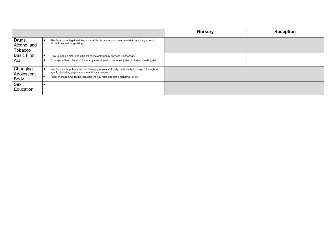|                                       |                                                                                                                                                                                                                                   | <b>Nursery</b> | <b>Reception</b> |
|---------------------------------------|-----------------------------------------------------------------------------------------------------------------------------------------------------------------------------------------------------------------------------------|----------------|------------------|
| Drugs,<br>Alcohol and<br>Tobacco      | The facts about legal and illegal harmful substances and associated risk, including smoking,<br>alcohol use and drug-taking                                                                                                       |                |                  |
| <b>Basic First</b><br>Aid             | How to make a clear and efficient call to emergency services if necessary.<br>Concepts of basic first-aid, for example dealing with common injuries, including head injuries.                                                     |                |                  |
| Changing<br>Adolescent<br><b>Body</b> | Key facts about puberty and the changing adolescent body, particularly from age 9 through to<br>age 11, including physical and emotional changes.<br>About menstrual wellbeing including the key facts about the menstrual cycle. |                |                  |
| Sex<br>Education                      |                                                                                                                                                                                                                                   |                |                  |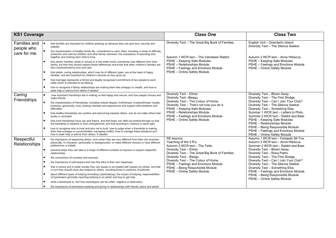| <b>KS1 Coverage</b>                |                                                                                                                                                                                                                                                              | <b>Class One</b>                                                                                                                                                                                                                                                                                                                                                                                            | <b>Class Two</b>                                                                                                    |
|------------------------------------|--------------------------------------------------------------------------------------------------------------------------------------------------------------------------------------------------------------------------------------------------------------|-------------------------------------------------------------------------------------------------------------------------------------------------------------------------------------------------------------------------------------------------------------------------------------------------------------------------------------------------------------------------------------------------------------|---------------------------------------------------------------------------------------------------------------------|
| Families and                       | that families are important for children growing up because they can give love, security and<br>stability                                                                                                                                                    | Diversity Text - The Great Big Book of Families.                                                                                                                                                                                                                                                                                                                                                            | English Unit - Grandad's Island.<br>Diversity Text - The Silence Seeker.                                            |
| people who<br>care for me.         | the characteristics of healthy family life, commitment to each other, including in times of difficulty,<br>protection and care for children and other family members, the importance of spending time<br>together and sharing each other's lives             | Autumn 1 WCR text - The Velveteen Rabbit.                                                                                                                                                                                                                                                                                                                                                                   | Autumn 2 WCR text - Anna Hibiscus.                                                                                  |
|                                    | $\bullet$<br>that others' families, either in school or in the wider world, sometimes look different from their<br>family, but that they should respect those differences and know that other children's families are<br>also characterised by love and care | PSHE - Keeping Safe Modules<br>PSHE - Relationships Module<br>PSHE - Feelings and Emotions Module                                                                                                                                                                                                                                                                                                           | PSHE - Keeping Safe Modules<br>PSHE - Feelings and Emotions Module<br>PSHE - Online Safety Module                   |
|                                    | that stable, caring relationships, which may be of different types, are at the heart of happy<br>families, and are important for children's security as they grow up                                                                                         | PSHE - Online Safety Module                                                                                                                                                                                                                                                                                                                                                                                 |                                                                                                                     |
|                                    | that marriage represents a formal and legally recognised commitment of two people to each<br>other which is intended to be lifelong                                                                                                                          |                                                                                                                                                                                                                                                                                                                                                                                                             |                                                                                                                     |
|                                    | how to recognise if family relationships are making them feel unhappy or unsafe, and how to<br>seek help or advice from others if needed                                                                                                                     |                                                                                                                                                                                                                                                                                                                                                                                                             |                                                                                                                     |
| Caring<br>Friendships              | how important friendships are in making us feel happy and secure, and how people choose and<br>make friends                                                                                                                                                  | Diversity Text - Elmer.<br>Diversity Text -Beegu.                                                                                                                                                                                                                                                                                                                                                           | Diversity Text - Blown Away.<br>Diversity Text - The First Slodge.                                                  |
|                                    | the characteristics of friendships, including mutual respect, truthfulness, trustworthiness, loyalty,<br>kindness, generosity, trust, sharing interests and experiences and support with problems and<br>difficulties                                        | Diversity Text - The Colour of Home.<br>Diversity Text - Can I Join Your Club?<br>Diversity Text - That's not how you do it.<br>PSHE - Keeping Safe Modules<br>Diversity Text - Something Else.<br>PSHE - Relationships Module<br>Summer 1 WCR text - Letters to Pluto.<br>PSHE - Feelings and Emotions Module<br>PSHE - Online Safety Module<br>PSHE - Keeping Safe Modules<br>PSHE - Relationships Module | Diversity Text - The Silence Seeker.                                                                                |
|                                    | that healthy friendships are positive and welcoming towards others, and do not make others feel<br>lonely or excluded                                                                                                                                        |                                                                                                                                                                                                                                                                                                                                                                                                             | Summer 2 WCR text - Rabbit and Bear.                                                                                |
|                                    | that most friendships have ups and downs, and that these can often be worked through so that<br>the friendship is repaired or even strengthened, and that resorting to violence is never right                                                               |                                                                                                                                                                                                                                                                                                                                                                                                             |                                                                                                                     |
|                                    | how to recognise who to trust and who not to trust, how to judge when a friendship is making<br>them feel unhappy or uncomfortable, managing conflict, how to manage these situations and<br>how to seek help or advice from others, if needed               |                                                                                                                                                                                                                                                                                                                                                                                                             | PSHE - Being Responsible Module<br>PSHE - Feelings and Emotions Module<br>PSHE - Online Safety Module               |
| Respectful<br><b>Relationships</b> | the importance of respecting others, even when they are very different from them (for example,<br>physically, in character, personality or backgrounds), or make different choices or have different<br>preferences or beliefs                               | RE lessons.<br>Teaching of the 5 R's.<br>Autumn 2 WCR text - The Twits.                                                                                                                                                                                                                                                                                                                                     | Autumn 1 WCR text - Fantastic Mr Fox.<br>Autumn 2 WCR text - Anna Hibiscus.<br>Summer 2 WCR text - Rabbit and Bear. |
|                                    | practical steps they can take in a range of different contexts to improve or support respectful<br>relationships                                                                                                                                             | Diversity Text - Elmer.<br>Diversity Text - The Great Big Book of Families.                                                                                                                                                                                                                                                                                                                                 | Diversity Text - Blown Away.<br>Diversity Text - Rosa Parks.                                                        |
|                                    | the conventions of courtesy and manners                                                                                                                                                                                                                      | Diversity Text - Beequ.                                                                                                                                                                                                                                                                                                                                                                                     | Diversity Text - The First Slodge.                                                                                  |
|                                    | the importance of self-respect and how this links to their own happiness                                                                                                                                                                                     | Diversity Text - The Colour of Home.                                                                                                                                                                                                                                                                                                                                                                        | Diversity Text - Can I Join Your Club?                                                                              |
|                                    | that in school and in wider society they can expect to be treated with respect by others, and that<br>in turn they should show due respect to others, including those in positions of authority                                                              | PSHE - Feelings and Emotions Module<br>PSHE - Being Responsible Module<br>PSHE - Online Safety Module                                                                                                                                                                                                                                                                                                       | Diversity Text - The Silence Seeker.<br>Diversity Text - Something Else.<br>PSHE - Feelings and Emotions Module     |
|                                    | about different types of bullying (including cyberbullying), the impact of bullying, responsibilities<br>of bystanders (primarily reporting bullying to an adult) and how to get help                                                                        |                                                                                                                                                                                                                                                                                                                                                                                                             | PSHE - Being Responsible Module<br>PSHE - Online Safety Module                                                      |
|                                    | what a stereotype is, and how stereotypes can be unfair, negative or destructive                                                                                                                                                                             |                                                                                                                                                                                                                                                                                                                                                                                                             |                                                                                                                     |
|                                    | the importance of permission-seeking and giving in relationships with friends, peers and adults                                                                                                                                                              |                                                                                                                                                                                                                                                                                                                                                                                                             |                                                                                                                     |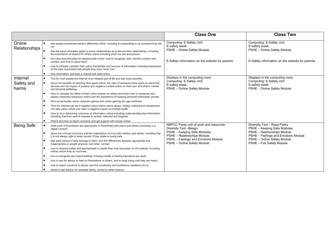|                         |                                                                                                                                                                                                                                                                                                   | <b>Class One</b>                                                              | <b>Class Two</b>                                                              |
|-------------------------|---------------------------------------------------------------------------------------------------------------------------------------------------------------------------------------------------------------------------------------------------------------------------------------------------|-------------------------------------------------------------------------------|-------------------------------------------------------------------------------|
| Online<br>Relationships | that people sometimes behave differently online, including by pretending to be someone they are<br>not<br>that the same principles apply to online relationships as to face-to-face relationships, including<br>the importance of respect for others online including when we are anonymous       | Computing: E-Safety Unit<br>E-safety week.<br>PSHE - Online Safety Module     | Computing: E-Safety Unit<br>E-safety week.<br>PSHE - Online Safety Module     |
|                         | the rules and principles for keeping safe online, how to recognise risks, harmful content and<br>contact, and how to report them<br>how to critically consider their online friendships and sources of information including awareness<br>of the risks associated with people they have never met | E-Safety information on the website for parents.                              | E-Safety information on the website for parents.                              |
|                         | how information and data is shared and used online                                                                                                                                                                                                                                                |                                                                               |                                                                               |
| Internet<br>Safety and  | The for most people the internet is an integral part of life and has many benefits.<br>About the benefits of rationing time spent online, the risks of excessive time spent on electronic                                                                                                         | Displays in the computing room.<br>Computing: E-Safety Unit<br>E-safety week. | Displays in the computing room.<br>Computing: E-Safety Unit<br>E-safety week. |
| harms                   | devices and the impact of positive and negative content online on their own and others' mental<br>and physical wellbeing.<br>How to consider the effect of their online actions on others and know how to recognise and                                                                           | PSHE - Online Safety Module                                                   | PSHE - Online Safety Module                                                   |
|                         | display respectful behaviour online and the importance of keeping personal information private.                                                                                                                                                                                                   |                                                                               |                                                                               |
|                         | Why social media, some computer games and online gaming are age restricted.                                                                                                                                                                                                                       |                                                                               |                                                                               |
|                         | That the internet can be a negative place where online abuse, trolling, bullying and harassment<br>can take place, which can have a negative impact on mental health.                                                                                                                             |                                                                               |                                                                               |
|                         | How to be a discerning consumer of information online including understanding that information,<br>including that from search engines is ranked, selected and targeted.                                                                                                                           |                                                                               |                                                                               |
|                         | Where and how to report concerns and get support with issues online.                                                                                                                                                                                                                              |                                                                               |                                                                               |
| <b>Being Safe</b>       | what sorts of boundaries are appropriate in friendships with peers and others (including in a<br>digital context)                                                                                                                                                                                 | NSPCC Pants unit of work and resources.<br>Diversity Text -Beegu              | Diversity Text - Rosa Parks.<br>PSHE - Keeping Safe Modules                   |
|                         | about the concept of privacy and the implications of it for both children and adults; including that<br>it is not always right to keep secrets if they relate to being safe                                                                                                                       | PSHE - Keeping Safe Modules<br>PSHE - Relationships Module                    | PSHE - Relationships Module<br>PSHE - Feelings and Emotions Module            |
|                         | that each person's body belongs to them, and the differences between appropriate and<br>inappropriate or unsafe physical, and other, contact                                                                                                                                                      | PSHE - Feelings and Emotions Module<br>PSHE - Online Safety Module            | PSHE - Online Safety Module<br>PSHE - Fire Safety Module                      |
|                         | how to respond safely and appropriately to adults they may encounter (in all contexts, including<br>online) whom they do not know                                                                                                                                                                 |                                                                               |                                                                               |
|                         | how to recognise and report feelings of being unsafe or feeling bad about any adult                                                                                                                                                                                                               |                                                                               |                                                                               |
|                         | how to ask for advice or help for themselves or others, and to keep trying until they are heard,                                                                                                                                                                                                  |                                                                               |                                                                               |
|                         | how to report concerns or abuse, and the vocabulary and confidence needed to do so                                                                                                                                                                                                                |                                                                               |                                                                               |
|                         | where to get advice, for example family, school or other sources                                                                                                                                                                                                                                  |                                                                               |                                                                               |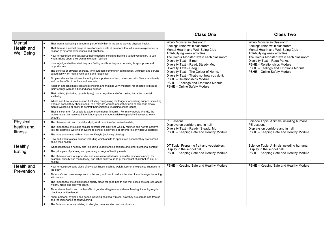|                                           |                                                                                                                                                                                                                                                                                                                                                                                                                                                                                                                                                                                                                                                                                                                                                                                                                                                                                                                                                                                                                                                                                                                                                                                                                                                                                                                                                                                                                                                                                                                                                                                             | <b>Class One</b>                                                                                                                                                                                                                                                                                                                                                                                                                                                        | <b>Class Two</b>                                                                                                                                                                                                                                                                                                       |
|-------------------------------------------|---------------------------------------------------------------------------------------------------------------------------------------------------------------------------------------------------------------------------------------------------------------------------------------------------------------------------------------------------------------------------------------------------------------------------------------------------------------------------------------------------------------------------------------------------------------------------------------------------------------------------------------------------------------------------------------------------------------------------------------------------------------------------------------------------------------------------------------------------------------------------------------------------------------------------------------------------------------------------------------------------------------------------------------------------------------------------------------------------------------------------------------------------------------------------------------------------------------------------------------------------------------------------------------------------------------------------------------------------------------------------------------------------------------------------------------------------------------------------------------------------------------------------------------------------------------------------------------------|-------------------------------------------------------------------------------------------------------------------------------------------------------------------------------------------------------------------------------------------------------------------------------------------------------------------------------------------------------------------------------------------------------------------------------------------------------------------------|------------------------------------------------------------------------------------------------------------------------------------------------------------------------------------------------------------------------------------------------------------------------------------------------------------------------|
| Mental<br>Health and<br><b>Well Being</b> | That mental wellbeing is a normal part of daily life, in the same way as physical health.<br>That there is a normal range of emotions and scale of emotions that all humans experience in<br>relation to different experiences and situations.<br>How to recognise and talk about their emotions, including having a varied vocabulary to use<br>when talking about their own and others' feelings.<br>How to judge whether what they are feeling and how they are behaving is appropriate and<br>proportionate.<br>The benefits of physical exercise, time outdoors community participation, voluntary and service-<br>based activity on mental well-being and happiness.<br>Simple self-care techniques including the importance of rest, time spent with friends and family<br>and the benefits of hobbies and interests.<br>Isolation and loneliness can affect children and that it is very important for children to discuss<br>their feelings with an adult and seek support.<br>That bullying (including cyberbullying) has a negative and often lasting impact on mental<br>wellbeing.<br>Where and how to seek support (including recognising the triggers for seeking support) including<br>whom in school they should speak to if they are worried about their own or someone else's<br>mental wellbeing or ability to control their emotions (including online issues)<br>That it is common for people to experience mental ill health. For many people who do, the<br>problems can be resolved if the right support is made available especially if accessed early<br>enough. | Worry Monster in classroom.<br>Feelings rainbow in classroom.<br>Mental Health and Well-Being Club<br>Anti-bullying week activities<br>The Colour Monster text in each classroom.<br>Diversity Text - Elmer.<br>Diversity Text - Read, Steady Mo.<br>Diversity Text - Beegu.<br>Diversity Text - The Colour of Home.<br>Diversity Text - That's not how you do it.<br>PSHE - Relationships Module<br>PSHE - Feelings and Emotions Module<br>PSHE - Online Safety Module | Worry Monster in classroom.<br>Feelings rainbow in classroom.<br>Mental Health and Well-Being Club<br>Anti-bullying week activities<br>The Colour Monster text in each classroom.<br>Diversity Text - Rosa Parks.<br>PSHE - Relationships Module<br>PSHE - Feelings and Emotions Module<br>PSHE - Online Safety Module |
| Physical<br>health and<br>fitness         | The characteristic and mental and physical benefits of an active lifestyle,<br>The importance of building regular exercise into daily and weekly routines and how to achieve<br>this; for example, walking or cycling to school, a daily mile or other forms of vigorous exercise.<br>The risks associated with an inactive lifestyle (including obesity)<br>How and when to seek support including which adults to speak to in school if they are worried<br>about their health.                                                                                                                                                                                                                                                                                                                                                                                                                                                                                                                                                                                                                                                                                                                                                                                                                                                                                                                                                                                                                                                                                                           | PE Lessons<br>Displays on corridors and in hall.<br>Diversity Text - Ready, Steady, Mo.<br>PSHE - Keeping Safe and Healthy Module                                                                                                                                                                                                                                                                                                                                       | Science Topic: Animals including humans.<br>PE Lessons<br>Displays on corridors and in hall.<br>PSHE - Keeping Safe and Healthy Module                                                                                                                                                                                 |
| Healthy<br>Eating                         | What constitutes a healthy diet (including understanding calories and other nutritional content)<br>The principles of planning and preparing a range of healthy meals.<br>The characteristics of a poor diet and risks associated with unhealthy eating (including, for<br>example, obesity and tooth decay) and other behaviours (e.g. the impact of alcohol on diet or<br>health)                                                                                                                                                                                                                                                                                                                                                                                                                                                                                                                                                                                                                                                                                                                                                                                                                                                                                                                                                                                                                                                                                                                                                                                                         | DT Topic: Preparing fruit and vegetables.<br>Display in the school hall.<br>PSHE - Keeping Safe and Healthy Module                                                                                                                                                                                                                                                                                                                                                      | Science Topic: Animals including humans.<br>Display in the school hall.<br>PSHE - Keeping Safe and Healthy Module                                                                                                                                                                                                      |
| Health and<br>Prevention                  | How to recognise early signs of physical illness, such as weight loss or unexplained changes to<br>the body.<br>About safe and unsafe exposure to the sun, and how to reduce the risk of sun damage, including<br>skin cancer.<br>The importance of sufficient good quality sleep for good health and that a lack of sleep can affect<br>weight, mood and ability to learn.<br>About dental health and the benefits of good oral hygiene and dental flossing, including regular<br>check-ups at the dentist.<br>About personal hygiene and germs including bacteria, viruses, how they are spread and treated<br>and the importance of handwashing.<br>The facts and science relating to allergies, immunisation and vaccination.                                                                                                                                                                                                                                                                                                                                                                                                                                                                                                                                                                                                                                                                                                                                                                                                                                                           | PSHE - Keeping Safe and Healthy Module                                                                                                                                                                                                                                                                                                                                                                                                                                  | PSHE - Keeping Safe and Healthy Module                                                                                                                                                                                                                                                                                 |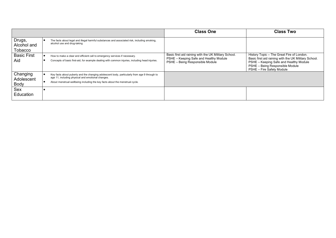|                                       |                                                                                                                                                                                                                                   | <b>Class One</b>                                                                                                                  | <b>Class Two</b>                                                                                                                                                                                            |
|---------------------------------------|-----------------------------------------------------------------------------------------------------------------------------------------------------------------------------------------------------------------------------------|-----------------------------------------------------------------------------------------------------------------------------------|-------------------------------------------------------------------------------------------------------------------------------------------------------------------------------------------------------------|
| Drugs,<br>Alcohol and<br>Tobacco      | The facts about legal and illegal harmful substances and associated risk, including smoking,<br>alcohol use and drug-taking                                                                                                       |                                                                                                                                   |                                                                                                                                                                                                             |
| <b>Basic First</b><br>Aid             | How to make a clear and efficient call to emergency services if necessary.<br>Concepts of basic first-aid, for example dealing with common injuries, including head injuries.                                                     | Basic first aid raining with the UK Military School.<br>PSHE - Keeping Safe and Healthy Module<br>PSHE - Being Responsible Module | History Topic - The Great Fire of London.<br>Basic first aid raining with the UK Military School.<br>PSHE - Keeping Safe and Healthy Module<br>PSHE - Being Responsible Module<br>PSHE - Fire Safety Module |
| Changing<br>Adolescent<br><b>Body</b> | Key facts about puberty and the changing adolescent body, particularly from age 9 through to<br>age 11, including physical and emotional changes.<br>About menstrual wellbeing including the key facts about the menstrual cycle. |                                                                                                                                   |                                                                                                                                                                                                             |
| Sex<br>Education                      |                                                                                                                                                                                                                                   |                                                                                                                                   |                                                                                                                                                                                                             |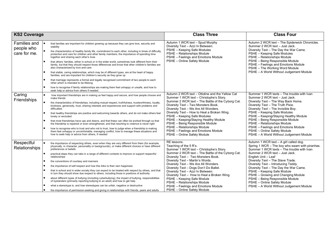| <b>KS2 Coverage</b>                        |                                                                                                                                                                                                                                                                                                                                                                                                                                                                                                                                                                                                                                                                                                                                                                                                                                                                                                                                                                                                                                                                             | <b>Class Three</b>                                                                                                                                                                                                                                                                                                                                                                                                                                                                                                        | <b>Class Four</b>                                                                                                                                                                                                                                                                                                                                                                                                                                                                                      |
|--------------------------------------------|-----------------------------------------------------------------------------------------------------------------------------------------------------------------------------------------------------------------------------------------------------------------------------------------------------------------------------------------------------------------------------------------------------------------------------------------------------------------------------------------------------------------------------------------------------------------------------------------------------------------------------------------------------------------------------------------------------------------------------------------------------------------------------------------------------------------------------------------------------------------------------------------------------------------------------------------------------------------------------------------------------------------------------------------------------------------------------|---------------------------------------------------------------------------------------------------------------------------------------------------------------------------------------------------------------------------------------------------------------------------------------------------------------------------------------------------------------------------------------------------------------------------------------------------------------------------------------------------------------------------|--------------------------------------------------------------------------------------------------------------------------------------------------------------------------------------------------------------------------------------------------------------------------------------------------------------------------------------------------------------------------------------------------------------------------------------------------------------------------------------------------------|
| Families and<br>people who<br>care for me. | that families are important for children growing up because they can give love, security and<br>stability<br>the characteristics of healthy family life, commitment to each other, including in times of difficulty,<br>protection and care for children and other family members, the importance of spending time<br>together and sharing each other's lives<br>that others' families, either in school or in the wider world, sometimes look different from their<br>family, but that they should respect those differences and know that other children's families are<br>also characterised by love and care<br>that stable, caring relationships, which may be of different types, are at the heart of happy<br>families, and are important for children's security as they grow up<br>that marriage represents a formal and legally recognised commitment of two people to each<br>other which is intended to be lifelong<br>how to recognise if family relationships are making them feel unhappy or unsafe, and how to<br>seek help or advice from others if needed | Autumn 1 WCR text - Spud Murphy<br>Diversity Text - Azzi In Between.<br>PSHE - Keeping Safe Modules<br>PSHE - Relationships Module<br>PSHE - Feelings and Emotions Module<br>PSHE - Online Safety Module                                                                                                                                                                                                                                                                                                                  | Autumn 2 WCR text - The Spiderwick Chronicles.<br>Summer 2 WCR text - Just Jack.<br>Diversity Text - The Day the War Came.<br>PSHE - Keeping Safe Modules<br>PSHE - Relationships Module<br>PSHE - Being Responsible Module<br>PSHE - Feelings and Emotions Module<br>PSHE - The Working Word Module<br>PSHE - A World Without Judgement Module                                                                                                                                                        |
| Caring<br>Friendships                      | how important friendships are in making us feel happy and secure, and how people choose and<br>make friends<br>the characteristics of friendships, including mutual respect, truthfulness, trustworthiness, loyalty,<br>kindness, generosity, trust, sharing interests and experiences and support with problems and<br>difficulties<br>that healthy friendships are positive and welcoming towards others, and do not make others feel<br>lonely or excluded<br>that most friendships have ups and downs, and that these can often be worked through so that<br>the friendship is repaired or even strengthened, and that resorting to violence is never right<br>how to recognise who to trust and who not to trust, how to judge when a friendship is making<br>them feel unhappy or uncomfortable, managing conflict, how to manage these situations and<br>how to seek help or advice from others, if needed                                                                                                                                                           | Autumn 2 WCR text - Ottoline and the Yellow Cat<br>Summer 1 WCR text - Christophe's Story.<br>Summer 2 WCR text - The Battle of the Cyborg Cat.<br>Diversity Text - Two Monsters Book.<br>Diversity Text - We Are All Wonders.<br>Diversity Text - How to Heal a Broken Wing.<br>PSHE - Keeping Safe Modules<br>PSHE - Keeping/Staying Healthy Module<br>PSHE - Being Responsible Module<br>PSHE - Relationships Module<br>PSHE - Feelings and Emotions Module<br>PSHE - Online Safety Module                             | Summer 1 WCR texts - The trouble with Ivan<br>Summer 2 WCR text - Just Jack.<br>Diversity Text - The Way Back Home.<br>Diversity Text - The Truth Pixie.<br>Diversity Text - The Invisible Boy.<br>PSHE - Keeping Safe Modules<br>PSHE - Keeping/Staying Healthy Module<br>PSHE - Being Responsible Module<br>PSHE - Relationships Module<br>PSHE - Feelings and Emotions Module<br>PSHE - Online Safety Module<br>PSHE - A World Without Judgement Module                                             |
| Respectful<br><b>Relationships</b>         | the importance of respecting others, even when they are very different from them (for example,<br>physically, in character, personality or backgrounds), or make different choices or have different<br>preferences or beliefs<br>practical steps they can take in a range of different contexts to improve or support respectful<br>relationships<br>the conventions of courtesy and manners<br>the importance of self-respect and how this links to their own happiness<br>that in school and in wider society they can expect to be treated with respect by others, and that<br>in turn they should show due respect to others, including those in positions of authority<br>about different types of bullying (including cyberbullying), the impact of bullying, responsibilities<br>of bystanders (primarily reporting bullying to an adult) and how to get help<br>what a stereotype is, and how stereotypes can be unfair, negative or destructive<br>the importance of permission-seeking and giving in relationships with friends, peers and adults                | RE lessons.<br>Teaching of the 5 R's.<br>Summer 1 WCR text - Christophe's Story.<br>Summer 2 WCR text - The Battle of the Cyborg Cat.<br>Diversity Text - Two Monsters Book.<br>Diversity Text - Martin's Words.<br>Diversity Text - We Are All Wonders.<br>Diversity Text - Dogs Don't Do Ballet.<br>Diversity Text - Azzi In Between.<br>Diversity Text - How to Heal a Broken Wing.<br>PSHE - Keeping Safe Module<br>PSHE - Relationships Module<br>PSHE - Feelings and Emotions Module<br>PSHE - Online Safety Module | Autumn 1 WCR text - A girl called dog.<br>Spring 1 WCR - The boy who swam with piranhas.<br>Summer 1 WCR texts - The trouble with Ivan<br>Summer 2 WCR text - Just Jack.<br>English Unit - Leaf<br>Diversity Text - The Slave Trade.<br>Diversity Text - Introducing Teddy.<br>Diversity Text - The Day the War Came.<br>PSHE - Keeping Safe Module<br>PSHE - Growing and Changing Module<br>PSHE - Being Responsible Module<br>PSHE - Online Safety Module<br>PSHE - A World Without Judgement Module |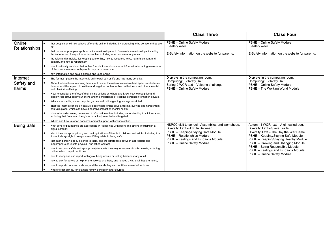|                     |                                                                                                                                                                                                                                                                                                              | <b>Class Three</b>                                                                                | <b>Class Four</b>                                                            |
|---------------------|--------------------------------------------------------------------------------------------------------------------------------------------------------------------------------------------------------------------------------------------------------------------------------------------------------------|---------------------------------------------------------------------------------------------------|------------------------------------------------------------------------------|
| Online              | that people sometimes behave differently online, including by pretending to be someone they are<br>not<br>Relationships<br>that the same principles apply to online relationships as to face-to-face relationships, including<br>the importance of respect for others online including when we are anonymous | PSHE - Online Safety Module<br>E-safety week                                                      | PSHE - Online Safety Module<br>E-safety week                                 |
|                     |                                                                                                                                                                                                                                                                                                              | E-Safety information on the website for parents.                                                  | E-Safety information on the website for parents.                             |
|                     | the rules and principles for keeping safe online, how to recognise risks, harmful content and<br>contact, and how to report them                                                                                                                                                                             |                                                                                                   |                                                                              |
|                     | how to critically consider their online friendships and sources of information including awareness<br>of the risks associated with people they have never met                                                                                                                                                |                                                                                                   |                                                                              |
|                     | how information and data is shared and used online                                                                                                                                                                                                                                                           |                                                                                                   |                                                                              |
| Internet            | The for most people the internet is an integral part of life and has many benefits.                                                                                                                                                                                                                          | Displays in the computing room.                                                                   | Displays in the computing room.<br>Computing: E-Safety Unit                  |
| Safety and<br>harms | About the benefits of rationing time spent online, the risks of excessive time spent on electronic<br>devices and the impact of positive and negative content online on their own and others' mental<br>and physical wellbeing.                                                                              | Computing: E-Safety Unit<br>Spring 2 WCR text - Volcano challenge.<br>PSHE - Online Safety Module | PSHE - Online Safety Module<br>PSHE - The Working World Module               |
|                     | How to consider the effect of their online actions on others and know how to recognise and<br>display respectful behaviour online and the importance of keeping personal information private.                                                                                                                |                                                                                                   |                                                                              |
|                     | Why social media, some computer games and online gaming are age restricted.                                                                                                                                                                                                                                  |                                                                                                   |                                                                              |
|                     | That the internet can be a negative place where online abuse, trolling, bullying and harassment<br>can take place, which can have a negative impact on mental health.                                                                                                                                        |                                                                                                   |                                                                              |
|                     | How to be a discerning consumer of information online including understanding that information,<br>including that from search engines is ranked, selected and targeted.                                                                                                                                      |                                                                                                   |                                                                              |
|                     | Where and how to report concerns and get support with issues online.                                                                                                                                                                                                                                         |                                                                                                   |                                                                              |
| <b>Being Safe</b>   | what sorts of boundaries are appropriate in friendships with peers and others (including in a<br>digital context)                                                                                                                                                                                            | NSPCC visit to school. Assemblies and workshops.<br>Diversity Text - Azzi In Between.             | Autumn 1 WCR text - A girl called dog.<br>Diversity Text - Slave Trade.      |
|                     | about the concept of privacy and the implications of it for both children and adults; including that<br>it is not always right to keep secrets if they relate to being safe                                                                                                                                  | PSHE - Keeping/Staying Safe Module<br>PSHE - Relationships Module                                 | Diversity Text - The Day the War Came.<br>PSHE - Keeping/Staying Safe Module |
|                     | that each person's body belongs to them, and the differences between appropriate and<br>inappropriate or unsafe physical, and other, contact                                                                                                                                                                 | PSHE - Feelings and Emotions Module<br>PSHE - Online Safety Module                                | PSHE - Keeping/Staying Healthy Module<br>PSHE - Growing and Changing Module  |
|                     | how to respond safely and appropriately to adults they may encounter (in all contexts, including<br>online) whom they do not know                                                                                                                                                                            |                                                                                                   | PSHE - Being Responsible Module<br>PSHE - Feelings and Emotions Module       |
|                     | how to recognise and report feelings of being unsafe or feeling bad about any adult                                                                                                                                                                                                                          |                                                                                                   | PSHE - Online Safety Module                                                  |
|                     | how to ask for advice or help for themselves or others, and to keep trying until they are heard,                                                                                                                                                                                                             |                                                                                                   |                                                                              |
|                     | how to report concerns or abuse, and the vocabulary and confidence needed to do so                                                                                                                                                                                                                           |                                                                                                   |                                                                              |
|                     | where to get advice, for example family, school or other sources                                                                                                                                                                                                                                             |                                                                                                   |                                                                              |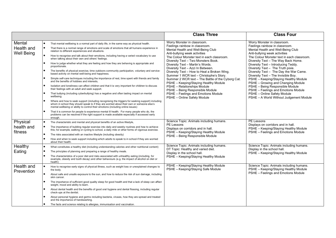|                                           |                                                                                                                                                                                                                                                                                                                                                                                                                                                                                                                                                                                                                                                                                                                                                                                                                                                                                                                                                                                                                                                                                                                                                                                                                                                                                                                                                                                                                                                                                                                                                                                             | <b>Class Three</b>                                                                                                                                                                                                                                                                                                                                                                                                                                                                                                                                                                                                                | <b>Class Four</b>                                                                                                                                                                                                                                                                                                                                                                                                                                                                                                                                                                                                        |
|-------------------------------------------|---------------------------------------------------------------------------------------------------------------------------------------------------------------------------------------------------------------------------------------------------------------------------------------------------------------------------------------------------------------------------------------------------------------------------------------------------------------------------------------------------------------------------------------------------------------------------------------------------------------------------------------------------------------------------------------------------------------------------------------------------------------------------------------------------------------------------------------------------------------------------------------------------------------------------------------------------------------------------------------------------------------------------------------------------------------------------------------------------------------------------------------------------------------------------------------------------------------------------------------------------------------------------------------------------------------------------------------------------------------------------------------------------------------------------------------------------------------------------------------------------------------------------------------------------------------------------------------------|-----------------------------------------------------------------------------------------------------------------------------------------------------------------------------------------------------------------------------------------------------------------------------------------------------------------------------------------------------------------------------------------------------------------------------------------------------------------------------------------------------------------------------------------------------------------------------------------------------------------------------------|--------------------------------------------------------------------------------------------------------------------------------------------------------------------------------------------------------------------------------------------------------------------------------------------------------------------------------------------------------------------------------------------------------------------------------------------------------------------------------------------------------------------------------------------------------------------------------------------------------------------------|
| Mental<br>Health and<br><b>Well Being</b> | That mental wellbeing is a normal part of daily life, in the same way as physical health.<br>That there is a normal range of emotions and scale of emotions that all humans experience in<br>relation to different experiences and situations.<br>How to recognise and talk about their emotions, including having a varied vocabulary to use<br>when talking about their own and others' feelings.<br>How to judge whether what they are feeling and how they are behaving is appropriate and<br>proportionate.<br>The benefits of physical exercise, time outdoors community participation, voluntary and service-<br>based activity on mental well-being and happiness.<br>Simple self-care techniques including the importance of rest, time spent with friends and family<br>and the benefits of hobbies and interests.<br>Isolation and loneliness can affect children and that it is very important for children to discuss<br>their feelings with an adult and seek support.<br>That bullying (including cyberbullying) has a negative and often lasting impact on mental<br>wellbeing.<br>Where and how to seek support (including recognising the triggers for seeking support) including<br>whom in school they should speak to if they are worried about their own or someone else's<br>mental wellbeing or ability to control their emotions (including online issues)<br>That it is common for people to experience mental ill health. For many people who do, the<br>problems can be resolved if the right support is made available especially if accessed early<br>enough. | Worry Monster in classroom.<br>Feelings rainbow in classroom.<br>Mental Health and Well-Being Club<br>Anti-bullying week activities<br>The Colour Monster text in each classroom.<br>Diversity Text - Two Monsters Book.<br>Diversity Text - Martin's Words.<br>Diversity Text - Azzi In Between.<br>Diversity Text - How to Heal a Broken Wing.<br>Summer 1 WCR text - Christophe's Story.<br>Summer 2 WCR text - The Battle of the Cyborg Cat.<br>PSHE - Keeping/Staying Healthy Module<br>PSHE - Relationships Module<br>PSHE - Being Responsible Module<br>PSHE - Feelings and Emotions Module<br>PSHE - Online Safety Module | Worry Monster in classroom.<br>Feelings rainbow in classroom.<br>Mental Health and Well-Being Club<br>Anti-bullying week activities<br>The Colour Monster text in each classroom.<br>Diversity Text - The Way Back Home.<br>Diversity Text - Introducing Teddy.<br>Diversity Text - The Truth pixie.<br>Diversity Text - The Day the War Came.<br>Diversity Text - The Invisible Boy.<br>PSHE - Keeping/Staying Healthy Module<br>PSHE - Growing and Changing Module<br>PSHE - Being Responsible Module<br>PSHE - Feelings and Emotions Module<br>PSHE - Online Safety Module<br>PSHE - A World Without Judgement Module |
| Physical<br>health and<br>fitness         | The characteristic and mental and physical benefits of an active lifestyle,<br>The importance of building regular exercise into daily and weekly routines and how to achieve<br>this; for example, walking or cycling to school, a daily mile or other forms of vigorous exercise.<br>The risks associated with an inactive lifestyle (including obesity)<br>How and when to seek support including which adults to speak to in school if they are worried<br>about their health.                                                                                                                                                                                                                                                                                                                                                                                                                                                                                                                                                                                                                                                                                                                                                                                                                                                                                                                                                                                                                                                                                                           | Science Topic: Animals including humans.<br>PE Lessons<br>Displays on corridors and in hall.<br>PSHE - Keeping/Staying Healthy Module<br>PSHE - Being Responsible Module                                                                                                                                                                                                                                                                                                                                                                                                                                                          | PE Lessons<br>Displays on corridors and in hall.<br>PSHE - Keeping/Staying Healthy Module<br>PSHE - Feelings and Emotions Module                                                                                                                                                                                                                                                                                                                                                                                                                                                                                         |
| Healthy<br>Eating                         | What constitutes a healthy diet (including understanding calories and other nutritional content)<br>The principles of planning and preparing a range of healthy meals.<br>The characteristics of a poor diet and risks associated with unhealthy eating (including, for<br>example, obesity and tooth decay) and other behaviours (e.g. the impact of alcohol on diet or<br>health)                                                                                                                                                                                                                                                                                                                                                                                                                                                                                                                                                                                                                                                                                                                                                                                                                                                                                                                                                                                                                                                                                                                                                                                                         | Science Topic: Animals including humans.<br>DT Topic: Healthy and varied diet.<br>Display in the school hall.<br>PSHE - Keeping/Staying Healthy Module                                                                                                                                                                                                                                                                                                                                                                                                                                                                            | Science Topic: Animals including humans.<br>Display in the school hall.<br>PSHE - Keeping/Staying Healthy Module                                                                                                                                                                                                                                                                                                                                                                                                                                                                                                         |
| Health and<br>Prevention                  | How to recognise early signs of physical illness, such as weight loss or unexplained changes to<br>the body.<br>About safe and unsafe exposure to the sun, and how to reduce the risk of sun damage, including<br>skin cancer.<br>The importance of sufficient good quality sleep for good health and that a lack of sleep can affect<br>weight, mood and ability to learn.<br>About dental health and the benefits of good oral hygiene and dental flossing, including regular<br>check-ups at the dentist.<br>About personal hygiene and germs including bacteria, viruses, how they are spread and treated<br>and the importance of handwashing.<br>The facts and science relating to allergies, immunisation and vaccination.                                                                                                                                                                                                                                                                                                                                                                                                                                                                                                                                                                                                                                                                                                                                                                                                                                                           | PSHE - Keeping/Staying Healthy Module<br>PSHE - Keeping/Staying Safe Module                                                                                                                                                                                                                                                                                                                                                                                                                                                                                                                                                       | Science Topic: Animals including humans.<br>PSHE - Keeping/Staying Healthy Module<br>PSHE - Feelings and Emotions Module                                                                                                                                                                                                                                                                                                                                                                                                                                                                                                 |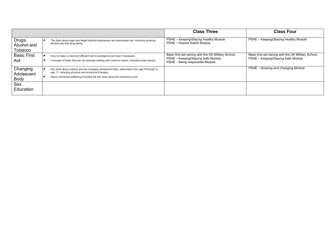|                                  |                                                                                                                                                                                                                                   | <b>Class Three</b>                                                                                                            | <b>Class Four</b>                                                                          |
|----------------------------------|-----------------------------------------------------------------------------------------------------------------------------------------------------------------------------------------------------------------------------------|-------------------------------------------------------------------------------------------------------------------------------|--------------------------------------------------------------------------------------------|
| Drugs,<br>Alcohol and<br>Tobacco | The facts about legal and illegal harmful substances and associated risk, including smoking,<br>alcohol use and drug-taking                                                                                                       | PSHE - Keeping/Staying Healthy Module<br>PSHE - Hazard Watch Module                                                           | PSHE - Keeping/Staying Healthy Module                                                      |
| <b>Basic First</b><br>Aid        | How to make a clear and efficient call to emergency services if necessary.<br>Concepts of basic first-aid, for example dealing with common injurie, including head injuries.                                                      | Basic first aid raining with the UK Military School.<br>PSHE - Keeping/Staying Safe Module<br>PSHE - Being responsible Module | Basic first aid raining with the UK Military School.<br>PSHE - Keeping/Staying Safe Module |
| Changing<br>Adolescent<br>Body   | Key facts about puberty and the changing adolescent body, particularly from age 9 through to<br>age 11, including physical and emotional changes.<br>About menstrual wellbeing including the key facts about the menstrual cycle. |                                                                                                                               | PSHE - Growing and Changing Module                                                         |
| Sex<br><b>Education</b>          |                                                                                                                                                                                                                                   |                                                                                                                               |                                                                                            |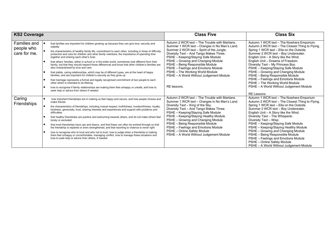| <b>KS2 Coverage</b>                        |                                                                                                                                                                                                                                                                                                                                                                                                                                                                                                                                                                                                                                                                                                                                                                                                                                                                                                                                                                                                                                                                             | <b>Class Five</b>                                                                                                                                                                                                                                                                                                                                                                                                                                        | <b>Class Six</b>                                                                                                                                                                                                                                                                                                                                                                                                                                                                                                                                                                    |
|--------------------------------------------|-----------------------------------------------------------------------------------------------------------------------------------------------------------------------------------------------------------------------------------------------------------------------------------------------------------------------------------------------------------------------------------------------------------------------------------------------------------------------------------------------------------------------------------------------------------------------------------------------------------------------------------------------------------------------------------------------------------------------------------------------------------------------------------------------------------------------------------------------------------------------------------------------------------------------------------------------------------------------------------------------------------------------------------------------------------------------------|----------------------------------------------------------------------------------------------------------------------------------------------------------------------------------------------------------------------------------------------------------------------------------------------------------------------------------------------------------------------------------------------------------------------------------------------------------|-------------------------------------------------------------------------------------------------------------------------------------------------------------------------------------------------------------------------------------------------------------------------------------------------------------------------------------------------------------------------------------------------------------------------------------------------------------------------------------------------------------------------------------------------------------------------------------|
| Families and<br>people who<br>care for me. | that families are important for children growing up because they can give love, security and<br>stability<br>the characteristics of healthy family life, commitment to each other, including in times of difficulty,<br>protection and care for children and other family members, the importance of spending time<br>together and sharing each other's lives<br>that others' families, either in school or in the wider world, sometimes look different from their<br>family, but that they should respect those differences and know that other children's families are<br>also characterised by love and care<br>that stable, caring relationships, which may be of different types, are at the heart of happy<br>families, and are important for children's security as they grow up<br>that marriage represents a formal and legally recognised commitment of two people to each<br>other which is intended to be lifelong<br>how to recognise if family relationships are making them feel unhappy or unsafe, and how to<br>seek help or advice from others if needed | Autumn 2 WCR text - The Trouble with Martians.<br>Summer 1 WCR text - Oranges in No Man's Land.<br>Summer 2 WCR text - Spirit of the Jungle.<br>Diversity Text - And Tango Makes Three.<br>PSHE - Keeping/Staying Safe Module<br>PSHE - Growing and Changing Module<br>PSHE - Being Responsible Module<br>PSHE - Feelings and Emotions Module<br>PSHE - The Working World Module<br>PSHE - A World Without Judgement Module<br>RE lessons.               | Autumn 1 WCR text - The Nowhere Emporium.<br>Autumn 2 WCR text - The Closest Thing to Flying.<br>Spring 1 WCR text - Ella on the Outside.<br>Summer 2 WCR text - Boy Underwater.<br>English Unit - A Story like the Wind.<br>English Unit - Dreams of Freedom.<br>Diversity Text - My Princess Boy.<br>PSHE - Keeping/Staying Safe Module<br>PSHE - Growing and Changing Module<br>PSHE - Being Responsible Module<br>PSHE - Feelings and Emotions Module<br>PSHE - The Working World Module<br>PSHE - A World Without Judgement Module                                             |
| Caring<br><b>Friendships</b>               | how important friendships are in making us feel happy and secure, and how people choose and<br>make friends<br>the characteristics of friendships, including mutual respect, truthfulness, trustworthiness, loyalty,<br>kindness, generosity, trust, sharing interests and experiences and support with problems and<br>difficulties<br>that healthy friendships are positive and welcoming towards others, and do not make others feel<br>lonely or excluded<br>that most friendships have ups and downs, and that these can often be worked through so that<br>the friendship is repaired or even strengthened, and that resorting to violence is never right<br>how to recognise who to trust and who not to trust, how to judge when a friendship is making<br>them feel unhappy or uncomfortable, managing conflict, how to manage these situations and<br>how to seek help or advice from others, if needed                                                                                                                                                           | Autumn 2 WCR text - The Trouble with Martians.<br>Summer 1 WCR text - Oranges in No Man's Land.<br>Diversity Text - King of the Sky.<br>Diversity Text - And Tango Makes Three.<br>PSHE - Keeping/Staying Safe Module<br>PSHE - Keeping/Staying Healthy Module<br>PSHE – Growing and Changing Module<br>PSHE - Being Responsible Module<br>PSHE - Feelings and Emotions Module<br>PSHE - Online Safety Module<br>PSHE - A World Without Judgement Module | <b>RE Lessons</b><br>Autumn 1 WCR text - The Nowhere Emporium<br>Autumn 2 WCR text - The Closest Thing to Flying.<br>Spring 1 WCR text - Ella on the Outside.<br>Summer 2 WCR text - Boy Underwater.<br>English Unit - A Story like the Wind.<br>Diversity Text - The Whisperer.<br>Diversity Text - Wisp.<br>PSHE - Keeping/Staying Safe Module<br>PSHE - Keeping/Staying Healthy Module<br>PSHE - Growing and Changing Module<br>PSHE - Being Responsible Module<br>PSHE - Feelings and Emotions Module<br>PSHE - Online Safety Module<br>PSHE - A World Without Judgement Module |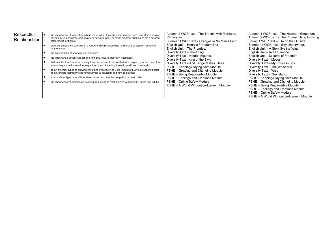| Respectful<br>Relationships |  | the importance of respecting others, even when they are very different from them (for example,<br>physically, in character, personality or backgrounds), or make different choices or have different<br>preferences or beliefs<br>practical steps they can take in a range of different contexts to improve or support respectful<br>relationships<br>the conventions of courtesy and manners<br>the importance of self-respect and how this links to their own happiness<br>that in school and in wider society they can expect to be treated with respect by others, and that<br>in turn they should show due respect to others, including those in positions of authority<br>about different types of bullying (including cyberbullying), the impact of bullying, responsibilities<br>of bystanders (primarily reporting bullying to an adult) and how to get help<br>what a stereotype is, and how stereotypes can be unfair, negative or destructive<br>the importance of permission-seeking and giving in relationships with friends, peers and adults | Autumn 2 WCR text - The Trouble with Martians.<br>RE lessons.<br>Summer 1 WCR text - Oranges in No Man's Land.<br>English Unit - Henry's Freedom Box<br>English Unit - The Promise.<br>Diversity Text - The Thing.<br>Diversity Text - Hidden Figures.<br>Diversity Text - King of the Sky.<br>Diversity Text - And Tango Makes Three.<br>PSHE - Keeping/Staying Safe Module<br>PSHE - Growing and Changing Module<br>PSHE - Being Responsible Module<br>PSHE - Feelings and Emotions Module<br>PSHE - Online Safety Module<br>PSHE - A World Without Judgement Module | Autumn 1 WCR text - The Nowhere Emporium<br>Autumn 2 WCR text - The Closest Thing to Flying.<br>Spring 1 WCR text - Ella on the Outside.<br>Summer 2 WCR text - Boy Underwater.<br>English Unit - A Story like the Wind.<br>English Unit - Rose Blanche<br>English Unit - Dreams of Freedom.<br>Diversity Text - Moses.<br>Diversity Text - My Princess Boy.<br>Diversity Text - The Whisperer.<br>Diversity Text - Wisp.<br>Diversity Text - The Island.<br>PSHE - Keeping/Staying Safe Module<br>PSHE - Growing and Changing Module<br>PSHE - Being Responsible Module<br>PSHE - Feelings and Emotions Module<br>PSHE - Online Safety Module<br>PSHE - A World Without Judgement Module |
|-----------------------------|--|--------------------------------------------------------------------------------------------------------------------------------------------------------------------------------------------------------------------------------------------------------------------------------------------------------------------------------------------------------------------------------------------------------------------------------------------------------------------------------------------------------------------------------------------------------------------------------------------------------------------------------------------------------------------------------------------------------------------------------------------------------------------------------------------------------------------------------------------------------------------------------------------------------------------------------------------------------------------------------------------------------------------------------------------------------------|------------------------------------------------------------------------------------------------------------------------------------------------------------------------------------------------------------------------------------------------------------------------------------------------------------------------------------------------------------------------------------------------------------------------------------------------------------------------------------------------------------------------------------------------------------------------|-------------------------------------------------------------------------------------------------------------------------------------------------------------------------------------------------------------------------------------------------------------------------------------------------------------------------------------------------------------------------------------------------------------------------------------------------------------------------------------------------------------------------------------------------------------------------------------------------------------------------------------------------------------------------------------------|
|-----------------------------|--|--------------------------------------------------------------------------------------------------------------------------------------------------------------------------------------------------------------------------------------------------------------------------------------------------------------------------------------------------------------------------------------------------------------------------------------------------------------------------------------------------------------------------------------------------------------------------------------------------------------------------------------------------------------------------------------------------------------------------------------------------------------------------------------------------------------------------------------------------------------------------------------------------------------------------------------------------------------------------------------------------------------------------------------------------------------|------------------------------------------------------------------------------------------------------------------------------------------------------------------------------------------------------------------------------------------------------------------------------------------------------------------------------------------------------------------------------------------------------------------------------------------------------------------------------------------------------------------------------------------------------------------------|-------------------------------------------------------------------------------------------------------------------------------------------------------------------------------------------------------------------------------------------------------------------------------------------------------------------------------------------------------------------------------------------------------------------------------------------------------------------------------------------------------------------------------------------------------------------------------------------------------------------------------------------------------------------------------------------|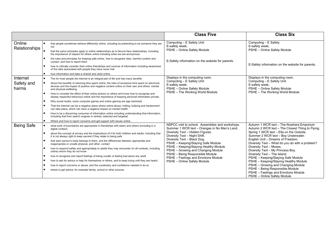|                                 |                                                                                                                                                                                                                                                                                                                                                                                                                                                                                                                                                                                                                                                                                                                                                                                                                                                                                                                                                                                                                                    | <b>Class Five</b>                                                                                                                                                                                                                                                                                                                                                                                                                   | <b>Class Six</b>                                                                                                                                                                                                                                                                                                                                                                                                                                                                                                                                                                                      |
|---------------------------------|------------------------------------------------------------------------------------------------------------------------------------------------------------------------------------------------------------------------------------------------------------------------------------------------------------------------------------------------------------------------------------------------------------------------------------------------------------------------------------------------------------------------------------------------------------------------------------------------------------------------------------------------------------------------------------------------------------------------------------------------------------------------------------------------------------------------------------------------------------------------------------------------------------------------------------------------------------------------------------------------------------------------------------|-------------------------------------------------------------------------------------------------------------------------------------------------------------------------------------------------------------------------------------------------------------------------------------------------------------------------------------------------------------------------------------------------------------------------------------|-------------------------------------------------------------------------------------------------------------------------------------------------------------------------------------------------------------------------------------------------------------------------------------------------------------------------------------------------------------------------------------------------------------------------------------------------------------------------------------------------------------------------------------------------------------------------------------------------------|
| Online<br>Relationships         | that people sometimes behave differently online, including by pretending to be someone they are<br>not<br>that the same principles apply to online relationships as to face-to-face relationships, including<br>the importance of respect for others online including when we are anonymous                                                                                                                                                                                                                                                                                                                                                                                                                                                                                                                                                                                                                                                                                                                                        | Computing - E Safety Unit<br>E-safety week;<br>PSHE - Online Safety Module                                                                                                                                                                                                                                                                                                                                                          | Computing - E Safety<br>E-safety week;<br>PSHE - Online Safety Module                                                                                                                                                                                                                                                                                                                                                                                                                                                                                                                                 |
|                                 | the rules and principles for keeping safe online, how to recognise risks, harmful content and<br>contact, and how to report them<br>how to critically consider their online friendships and sources of information including awareness<br>of the risks associated with people they have never met<br>how information and data is shared and used online                                                                                                                                                                                                                                                                                                                                                                                                                                                                                                                                                                                                                                                                            | E-Safety information on the website for parents.                                                                                                                                                                                                                                                                                                                                                                                    | E-Safety information on the website for parents.                                                                                                                                                                                                                                                                                                                                                                                                                                                                                                                                                      |
| Internet<br>Safety and<br>harms | The for most people the internet is an integral part of life and has many benefits.<br>About the benefits of rationing time spent online, the risks of excessive time spent on electronic<br>devices and the impact of positive and negative content online on their own and others' mental<br>and physical wellbeing.<br>How to consider the effect of their online actions on others and know how to recognise and<br>display respectful behaviour online and the importance of keeping personal information private.<br>Why social media, some computer games and online gaming are age restricted.<br>That the internet can be a negative place where online abuse, trolling, bullying and harassment<br>can take place, which can have a negative impact on mental health.<br>How to be a discerning consumer of information online including understanding that information,<br>including that from search engines is ranked, selected and targeted.<br>Where and how to report concerns and get support with issues online. | Displays in the computing room.<br>Computing - E Safety Unit<br>E-safety week;<br>PSHE - Online Safety Module<br>PSHE - The Working World Module                                                                                                                                                                                                                                                                                    | Displays in the computing room.<br>Computing - E Safety Unit<br>E-safety week;<br>PSHE - Online Safety Module<br>PSHE - The Working World Module                                                                                                                                                                                                                                                                                                                                                                                                                                                      |
| <b>Being Safe</b>               | what sorts of boundaries are appropriate in friendships with peers and others (including in a<br>digital context)<br>about the concept of privacy and the implications of it for both children and adults; including that<br>it is not always right to keep secrets if they relate to being safe<br>that each person's body belongs to them, and the differences between appropriate and<br>inappropriate or unsafe physical, and other, contact<br>how to respond safely and appropriately to adults they may encounter (in all contexts, including<br>online) whom they do not know<br>how to recognise and report feelings of being unsafe or feeling bad about any adult<br>how to ask for advice or help for themselves or others, and to keep trying until they are heard,<br>how to report concerns or abuse, and the vocabulary and confidence needed to do so<br>where to get advice, for example family, school or other sources                                                                                         | NSPCC visit to school. Assemblies and workshops.<br>Summer 1 WCR text - Oranges in No Man's Land.<br>Diversity Text - Hidden Figures.<br>Diversity Text - Night Shift.<br>Diversity Text - Black Dog.<br>PSHE - Keeping/Staying Safe Module<br>PSHE - Keeping/Staying Healthy Module<br>PSHE - Growing and Changing Module<br>PSHE - Being Responsible Module<br>PSHE - Feelings and Emotions Module<br>PSHE - Online Safety Module | Autumn 1 WCR text - The Nowhere Emporium<br>Autumn 2 WCR text - The Closest Thing to Flying.<br>Spring 1 WCR text - Ella on the Outside.<br>Summer 2 WCR text - Boy Underwater.<br>English Unit - Dreams of Freedom.<br>Diversity Text - What do you do with a problem?<br>Diversity Text - Moses.<br>Diversity Text - My Princess Boy.<br>Diversity Text - The Island.<br>PSHE - Keeping/Staying Safe Module<br>PSHE - Keeping/Staying Healthy Module<br>PSHE - Growing and Changing Module<br>PSHE - Being Responsible Module<br>PSHE - Feelings and Emotions Module<br>PSHE - Online Safety Module |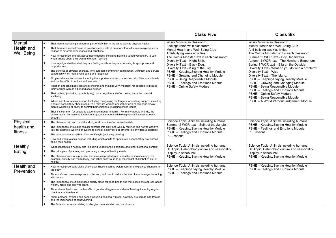|                                           |                                                                                                                                                                                                                                                                                                                                                                                                                                                                                                                                                                                                                                                                                                                                                                                                                                                                                                                                                                                                                                                                                                                                                                                                                                                                                                                                                                                                                                                                                                                                                                                             | <b>Class Five</b>                                                                                                                                                                                                                                                                                                                                                                                                                                                              | <b>Class Six</b>                                                                                                                                                                                                                                                                                                                                                                                                                                                                                                                                                                                                                                                   |
|-------------------------------------------|---------------------------------------------------------------------------------------------------------------------------------------------------------------------------------------------------------------------------------------------------------------------------------------------------------------------------------------------------------------------------------------------------------------------------------------------------------------------------------------------------------------------------------------------------------------------------------------------------------------------------------------------------------------------------------------------------------------------------------------------------------------------------------------------------------------------------------------------------------------------------------------------------------------------------------------------------------------------------------------------------------------------------------------------------------------------------------------------------------------------------------------------------------------------------------------------------------------------------------------------------------------------------------------------------------------------------------------------------------------------------------------------------------------------------------------------------------------------------------------------------------------------------------------------------------------------------------------------|--------------------------------------------------------------------------------------------------------------------------------------------------------------------------------------------------------------------------------------------------------------------------------------------------------------------------------------------------------------------------------------------------------------------------------------------------------------------------------|--------------------------------------------------------------------------------------------------------------------------------------------------------------------------------------------------------------------------------------------------------------------------------------------------------------------------------------------------------------------------------------------------------------------------------------------------------------------------------------------------------------------------------------------------------------------------------------------------------------------------------------------------------------------|
| Mental<br>Health and<br><b>Well Being</b> | That mental wellbeing is a normal part of daily life, in the same way as physical health.<br>That there is a normal range of emotions and scale of emotions that all humans experience in<br>relation to different experiences and situations.<br>How to recognise and talk about their emotions, including having a varied vocabulary to use<br>when talking about their own and others' feelings.<br>How to judge whether what they are feeling and how they are behaving is appropriate and<br>proportionate.<br>The benefits of physical exercise, time outdoors community participation, voluntary and service-<br>based activity on mental well-being and happiness.<br>Simple self-care techniques including the importance of rest, time spent with friends and family<br>and the benefits of hobbies and interests,<br>Isolation and loneliness can affect children and that it is very important for children to discuss<br>their feelings with an adult and seek support.<br>That bullying (including cyberbullying) has a negative and often lasting impact on mental<br>wellbeing.<br>Where and how to seek support (including recognising the triggers for seeking support) including<br>whom in school they should speak to if they are worried about their own or someone else's<br>mental wellbeing or ability to control their emotions (including online issues)<br>That it is common for people to experience mental ill health. For many people who do, the<br>problems can be resolved if the right support is made available especially if accessed early<br>enough. | Worry Monster in classroom.<br>Feelings rainbow in classroom.<br>Mental Health and Well-Being Club<br>Anti-bullying week activities<br>The Colour Monster text in each classroom.<br>Diversity Text - Night Shift.<br>Diversity Text - Black Dog.<br>Diversity Text - King of the Sky.<br>PSHE - Keeping/Staying Healthy Module<br>PSHE - Growing and Changing Module<br>PSHE - Being Responsible Module<br>PSHE - Feelings and Emotions Module<br>PSHE - Online Safety Module | Worry Monster in classroom.<br>Mental Health and Well-Being Club<br>Anti-bullying week activities<br>The Colour Monster text in each classroom.<br>Summer 2 WCR text - Boy Underwater.<br>Autumn 1 WCR text - The Nowhere Emporium.<br>Spring 1 WCR text - Ella on the Outside.<br>Diversity Text - What do you do with a problem?<br>Diversity Text - Wisp.<br>Diversity Text - The Island.<br>PSHE - Keeping/Staying Healthy Module<br>PSHE - Growing and Changing Module<br>PSHE - Being Responsible Module<br>PSHE - Feelings and Emotions Module<br>PSHE - Online Safety Module<br>PSHE - Being Responsible Module<br>PSHE - A World Without Judgement Module |
| Physical<br>health and<br>fitness         | The characteristic and mental and physical benefits of an active lifestyle,<br>The importance of building regular exercise into daily and weekly routines and how to achieve<br>this; for example, walking or cycling to school, a daily mile or other forms of vigorous exercise.<br>The risks associated with an inactive lifestyle (including obesity)<br>How and when to seek support including which adults to speak to in school if they are worried<br>about their health.                                                                                                                                                                                                                                                                                                                                                                                                                                                                                                                                                                                                                                                                                                                                                                                                                                                                                                                                                                                                                                                                                                           | Science Topic: Animals including humans.<br>Summer 2 WCR text - Spirit of the Jungle.<br>PSHE - Keeping/Staying Healthy Module<br>PSHE - Feelings and Emotions Module<br>PE Lessons<br>Science Topic: Animals including humans.                                                                                                                                                                                                                                                | Science Topic: Animals including humans.<br>PSHE - Keeping/Staying Healthy Module<br>PSHE - Feelings and Emotions Module<br>PE Lessons<br>Science Topic: Animals including humans.                                                                                                                                                                                                                                                                                                                                                                                                                                                                                 |
| Healthy<br>Eating                         | What constitutes a healthy diet (including understanding calories and other nutritional content)<br>The principles of planning and preparing a range of healthy meals.<br>The characteristics of a poor diet and risks associated with unhealthy eating (including, for<br>example, obesity and tooth decay) and other behaviours (e.g. the impact of alcohol on diet or<br>health)                                                                                                                                                                                                                                                                                                                                                                                                                                                                                                                                                                                                                                                                                                                                                                                                                                                                                                                                                                                                                                                                                                                                                                                                         | DT Topic: Celebrating culture and seasonality.<br>Display in school hall.<br>PSHE - Keeping/Staying Healthy Module                                                                                                                                                                                                                                                                                                                                                             | DT Topic: Celebrating culture and seasonality.<br>Display in school hall.<br>PSHE - Keeping/Staying Healthy Module                                                                                                                                                                                                                                                                                                                                                                                                                                                                                                                                                 |
| Health and<br>Prevention                  | How to recognise early signs of physical illness, such as weight loss or unexplained changes to<br>the body.<br>About safe and unsafe exposure to the sun, and how to reduce the risk of sun damage, including<br>skin cancer.<br>The importance of sufficient good quality sleep for good health and that a lack of sleep can affect<br>weight, mood and ability to learn.<br>About dental health and the benefits of good oral hygiene and dental flossing, including regular<br>check-ups at the dentist.<br>About personal hygiene and germs including bacteria, viruses, how they are spread and treated<br>and the importance of handwashing.<br>The facts and science relating to allergies, immunisation and vaccination.                                                                                                                                                                                                                                                                                                                                                                                                                                                                                                                                                                                                                                                                                                                                                                                                                                                           | Science Topic: Animals including humans.<br>PSHE - Keeping/Staying Healthy Module<br>PSHE - Feelings and Emotions Module                                                                                                                                                                                                                                                                                                                                                       | PSHE - Keeping/Staying Healthy Module<br>PSHE - Feelings and Emotions Module                                                                                                                                                                                                                                                                                                                                                                                                                                                                                                                                                                                       |